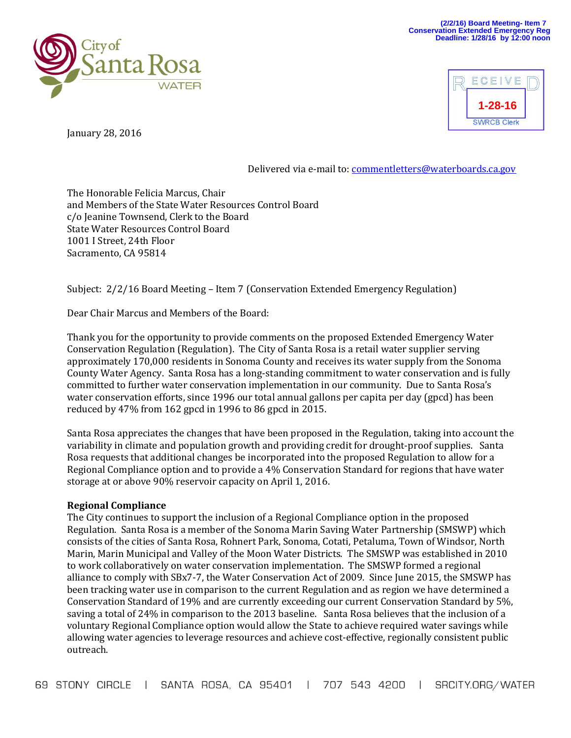



January 28, 2016

## Delivered via e-mail to[: commentletters@waterboards.ca.gov](mailto:commentletters@waterboards.ca.gov)

The Honorable Felicia Marcus, Chair and Members of the State Water Resources Control Board c/o Jeanine Townsend, Clerk to the Board State Water Resources Control Board 1001 I Street, 24th Floor Sacramento, CA 95814

Subject: 2/2/16 Board Meeting – Item 7 (Conservation Extended Emergency Regulation)

Dear Chair Marcus and Members of the Board:

Thank you for the opportunity to provide comments on the proposed Extended Emergency Water Conservation Regulation (Regulation). The City of Santa Rosa is a retail water supplier serving approximately 170,000 residents in Sonoma County and receives its water supply from the Sonoma County Water Agency. Santa Rosa has a long-standing commitment to water conservation and is fully committed to further water conservation implementation in our community. Due to Santa Rosa's water conservation efforts, since 1996 our total annual gallons per capita per day (gpcd) has been reduced by 47% from 162 gpcd in 1996 to 86 gpcd in 2015.

Santa Rosa appreciates the changes that have been proposed in the Regulation, taking into account the variability in climate and population growth and providing credit for drought-proof supplies. Santa Rosa requests that additional changes be incorporated into the proposed Regulation to allow for a Regional Compliance option and to provide a 4% Conservation Standard for regions that have water storage at or above 90% reservoir capacity on April 1, 2016.

## **Regional Compliance**

The City continues to support the inclusion of a Regional Compliance option in the proposed Regulation. Santa Rosa is a member of the Sonoma Marin Saving Water Partnership (SMSWP) which consists of the cities of Santa Rosa, Rohnert Park, Sonoma, Cotati, Petaluma, Town of Windsor, North Marin, Marin Municipal and Valley of the Moon Water Districts. The SMSWP was established in 2010 to work collaboratively on water conservation implementation. The SMSWP formed a regional alliance to comply with SBx7-7, the Water Conservation Act of 2009. Since June 2015, the SMSWP has been tracking water use in comparison to the current Regulation and as region we have determined a Conservation Standard of 19% and are currently exceeding our current Conservation Standard by 5%, saving a total of 24% in comparison to the 2013 baseline. Santa Rosa believes that the inclusion of a voluntary Regional Compliance option would allow the State to achieve required water savings while allowing water agencies to leverage resources and achieve cost-effective, regionally consistent public outreach.